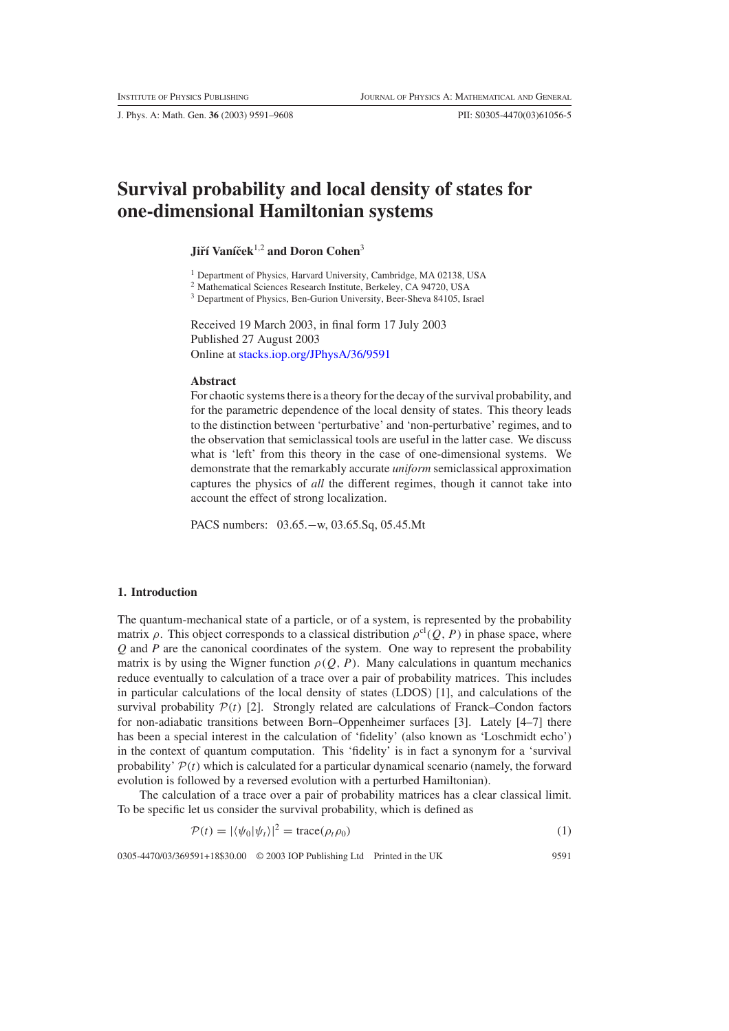J. Phys. A: Math. Gen. **36** (2003) 9591–9608 PII: S0305-4470(03)61056-5

# **Survival probability and local density of states for one-dimensional Hamiltonian systems**

## **Jiří Vaníček**<sup>1,2</sup> and Doron Cohen<sup>3</sup>

<sup>1</sup> Department of Physics, Harvard University, Cambridge, MA 02138, USA

<sup>2</sup> Mathematical Sciences Research Institute, Berkeley, CA 94720, USA

<sup>3</sup> Department of Physics, Ben-Gurion University, Beer-Sheva 84105, Israel

Received 19 March 2003, in final form 17 July 2003 Published 27 August 2003 Online at [stacks.iop.org/JPhysA/36/9591](http://stacks.iop.org/ja/36/9591)

#### **Abstract**

For chaotic systems there is a theory for the decay of the survival probability, and for the parametric dependence of the local density of states. This theory leads to the distinction between 'perturbative' and 'non-perturbative' regimes, and to the observation that semiclassical tools are useful in the latter case. We discuss what is 'left' from this theory in the case of one-dimensional systems. We demonstrate that the remarkably accurate *uniform* semiclassical approximation captures the physics of *all* the different regimes, though it cannot take into account the effect of strong localization.

PACS numbers: 03.65.−w, 03.65.Sq, 05.45.Mt

#### **1. Introduction**

The quantum-mechanical state of a particle, or of a system, is represented by the probability matrix  $\rho$ . This object corresponds to a classical distribution  $\rho^{cl}(Q, P)$  in phase space, where *Q* and *P* are the canonical coordinates of the system. One way to represent the probability matrix is by using the Wigner function  $\rho(Q, P)$ . Many calculations in quantum mechanics reduce eventually to calculation of a trace over a pair of probability matrices. This includes in particular calculations of the local density of states (LDOS) [1], and calculations of the survival probability  $P(t)$  [2]. Strongly related are calculations of Franck–Condon factors for non-adiabatic transitions between Born–Oppenheimer surfaces [3]. Lately [4–7] there has been a special interest in the calculation of 'fidelity' (also known as 'Loschmidt echo') in the context of quantum computation. This 'fidelity' is in fact a synonym for a 'survival probability'  $P(t)$  which is calculated for a particular dynamical scenario (namely, the forward evolution is followed by a reversed evolution with a perturbed Hamiltonian).

<span id="page-0-0"></span>The calculation of a trace over a pair of probability matrices has a clear classical limit. To be specific let us consider the survival probability, which is defined as

$$
\mathcal{P}(t) = |\langle \psi_0 | \psi_t \rangle|^2 = \text{trace}(\rho_t \rho_0)
$$
\n(1)

0305-4470/03/369591+18\$30.00 © 2003 IOP Publishing Ltd Printed in the UK 9591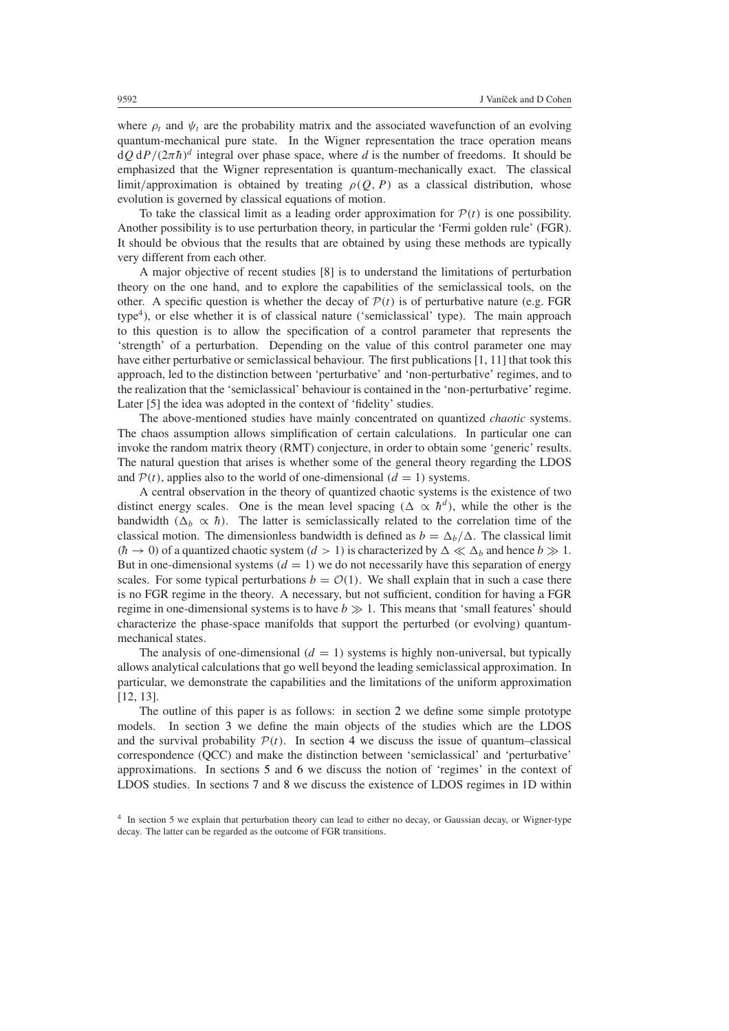where  $\rho_t$  and  $\psi_t$  are the probability matrix and the associated wavefunction of an evolving quantum-mechanical pure state. In the Wigner representation the trace operation means  $dQ dP/(2\pi\hbar)^d$  integral over phase space, where *d* is the number of freedoms. It should be emphasized that the Wigner representation is quantum-mechanically exact. The classical limit/approximation is obtained by treating  $\rho(Q, P)$  as a classical distribution, whose evolution is governed by classical equations of motion.

To take the classical limit as a leading order approximation for  $P(t)$  is one possibility. Another possibility is to use perturbation theory, in particular the 'Fermi golden rule' (FGR). It should be obvious that the results that are obtained by using these methods are typically very different from each other.

A major objective of recent studies [8] is to understand the limitations of perturbation theory on the one hand, and to explore the capabilities of the semiclassical tools, on the other. A specific question is whether the decay of  $P(t)$  is of perturbative nature (e.g. FGR type<sup>4</sup>), or else whether it is of classical nature ('semiclassical' type). The main approach to this question is to allow the specification of a control parameter that represents the 'strength' of a perturbation. Depending on the value of this control parameter one may have either perturbative or semiclassical behaviour. The first publications [1, 11] that took this approach, led to the distinction between 'perturbative' and 'non-perturbative' regimes, and to the realization that the 'semiclassical' behaviour is contained in the 'non-perturbative' regime. Later [5] the idea was adopted in the context of 'fidelity' studies.

The above-mentioned studies have mainly concentrated on quantized *chaotic* systems. The chaos assumption allows simplification of certain calculations. In particular one can invoke the random matrix theory (RMT) conjecture, in order to obtain some 'generic' results. The natural question that arises is whether some of the general theory regarding the LDOS and  $P(t)$ , applies also to the world of one-dimensional  $(d = 1)$  systems.

A central observation in the theory of quantized chaotic systems is the existence of two distinct energy scales. One is the mean level spacing  $(\Delta \propto \hbar^d)$ , while the other is the bandwidth  $(\Delta_h \propto \hbar)$ . The latter is semiclassically related to the correlation time of the classical motion. The dimensionless bandwidth is defined as  $b = \Delta_b/\Delta$ . The classical limit  $(h \to 0)$  of a quantized chaotic system  $(d > 1)$  is characterized by  $\Delta \ll \Delta_b$  and hence  $b \gg 1$ . But in one-dimensional systems  $(d = 1)$  we do not necessarily have this separation of energy scales. For some typical perturbations  $b = \mathcal{O}(1)$ . We shall explain that in such a case there is no FGR regime in the theory. A necessary, but not sufficient, condition for having a FGR regime in one-dimensional systems is to have  $b \gg 1$ . This means that 'small features' should characterize the phase-space manifolds that support the perturbed (or evolving) quantummechanical states.

The analysis of one-dimensional  $(d = 1)$  systems is highly non-universal, but typically allows analytical calculations that go well beyond the leading semiclassical approximation. In particular, we demonstrate the capabilities and the limitations of the uniform approximation [12, 13].

The outline of this paper is as follows: in section [2](#page-2-0) we define some simple prototype models. In section [3](#page-3-0) we define the main objects of the studies which are the LDOS and the survival probability  $P(t)$ . In section [4](#page-3-1) we discuss the issue of quantum–classical correspondence (QCC) and make the distinction between 'semiclassical' and 'perturbative' approximations. In sections [5](#page-4-0) and [6](#page-6-0) we discuss the notion of 'regimes' in the context of LDOS studies. In sections [7](#page-7-0) and [8](#page-8-0) we discuss the existence of LDOS regimes in 1D within

<sup>4</sup> In section 5 we explain that perturbation theory can lead to either no decay, or Gaussian decay, or Wigner-type decay. The latter can be regarded as the outcome of FGR transitions.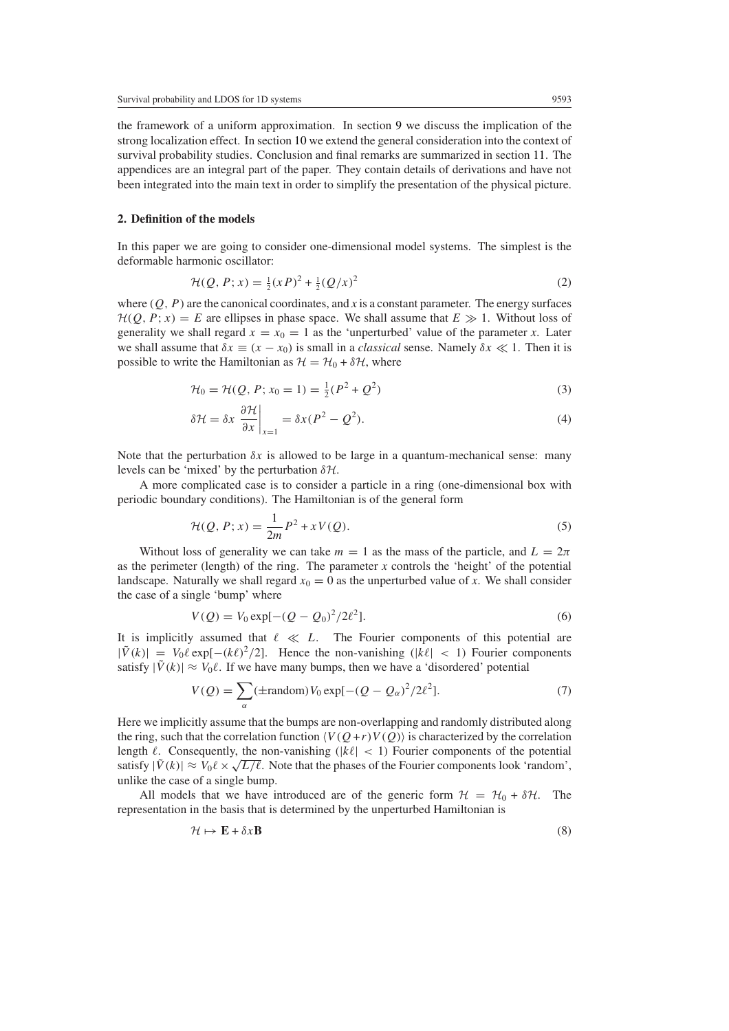the framework of a uniform approximation. In section [9](#page-10-0) we discuss the implication of the strong localization effect. In section [10](#page-10-1) we extend the general consideration into the context of survival probability studies. Conclusion and final remarks are summarized in section [11.](#page-11-0) The appendices are an integral part of the paper. They contain details of derivations and have not been integrated into the main text in order to simplify the presentation of the physical picture.

#### <span id="page-2-0"></span>**2. Definition of the models**

<span id="page-2-1"></span>In this paper we are going to consider one-dimensional model systems. The simplest is the deformable harmonic oscillator:

$$
\mathcal{H}(Q, P; x) = \frac{1}{2}(xP)^2 + \frac{1}{2}(Q/x)^2 \tag{2}
$$

where  $(Q, P)$  are the canonical coordinates, and *x* is a constant parameter. The energy surfaces  $H(Q, P; x) = E$  are ellipses in phase space. We shall assume that  $E \gg 1$ . Without loss of generality we shall regard  $x = x_0 = 1$  as the 'unperturbed' value of the parameter *x*. Later we shall assume that  $\delta x \equiv (x - x_0)$  is small in a *classical* sense. Namely  $\delta x \ll 1$ . Then it is possible to write the Hamiltonian as  $\mathcal{H} = \mathcal{H}_0 + \delta \mathcal{H}$ , where

$$
\mathcal{H}_0 = \mathcal{H}(Q, P; x_0 = 1) = \frac{1}{2}(P^2 + Q^2)
$$
\n(3)

$$
\delta \mathcal{H} = \delta x \left. \frac{\partial \mathcal{H}}{\partial x} \right|_{x=1} = \delta x (P^2 - Q^2). \tag{4}
$$

Note that the perturbation  $\delta x$  is allowed to be large in a quantum-mechanical sense: many levels can be 'mixed' by the perturbation *δ*H.

<span id="page-2-2"></span>A more complicated case is to consider a particle in a ring (one-dimensional box with periodic boundary conditions). The Hamiltonian is of the general form

$$
\mathcal{H}(Q, P; x) = \frac{1}{2m}P^2 + xV(Q).
$$
\n<sup>(5)</sup>

Without loss of generality we can take  $m = 1$  as the mass of the particle, and  $L = 2\pi$ as the perimeter (length) of the ring. The parameter  $x$  controls the 'height' of the potential landscape. Naturally we shall regard  $x_0 = 0$  as the unperturbed value of x. We shall consider the case of a single 'bump' where

$$
V(Q) = V_0 \exp[-(Q - Q_0)^2 / 2\ell^2].
$$
\n(6)

<span id="page-2-4"></span><span id="page-2-3"></span>It is implicitly assumed that  $\ell \ll L$ . The Fourier components of this potential are  $|\tilde{V}(k)| = V_0 \ell \exp[-(k\ell)^2/2]$ . Hence the non-vanishing  $(|k\ell| < 1)$  Fourier components satisfy  $|\tilde{V}(k)| \approx V_0 \ell$ . If we have many bumps, then we have a 'disordered' potential

$$
V(Q) = \sum_{\alpha} (\pm \text{random}) V_0 \exp[-(Q - Q_{\alpha})^2 / 2\ell^2]. \tag{7}
$$

Here we implicitly assume that the bumps are non-overlapping and randomly distributed along the ring, such that the correlation function  $\langle V(Q+r)V(Q) \rangle$  is characterized by the correlation length  $\ell$ . Consequently, the non-vanishing ( $|k\ell| < 1$ ) Fourier components of the potential satisfy  $|\tilde{V}(k)| \approx V_0 \ell \times \sqrt{L/\ell}$ . Note that the phases of the Fourier components look 'random', unlike the case of a single bump.

All models that we have introduced are of the generic form  $H = H_0 + \delta H$ . The representation in the basis that is determined by the unperturbed Hamiltonian is

$$
\mathcal{H} \mapsto \mathbf{E} + \delta x \mathbf{B} \tag{8}
$$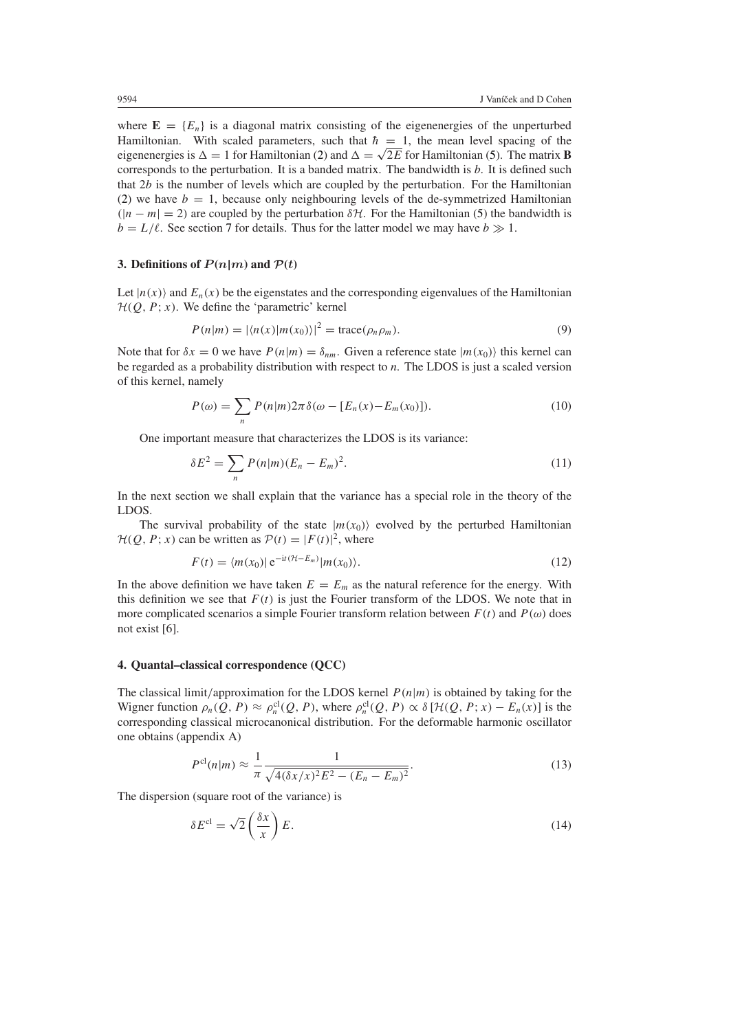where  $\mathbf{E} = \{E_n\}$  is a diagonal matrix consisting of the eigenenergies of the unperturbed Hamiltonian. With scaled parameters, such that  $\hbar = 1$ , the mean level spacing of the eigenenergies is  $\Delta = 1$  for Hamiltonian [\(2\)](#page-2-1) and  $\Delta = \sqrt{2E}$  for Hamiltonian [\(5\)](#page-2-2). The matrix **B** corresponds to the perturbation. It is a banded matrix. The bandwidth is *b*. It is defined such that 2*b* is the number of levels which are coupled by the perturbation. For the Hamiltonian [\(2\)](#page-2-1) we have  $b = 1$ , because only neighbouring levels of the de-symmetrized Hamiltonian  $(|n - m| = 2)$  are coupled by the perturbation  $\delta \mathcal{H}$ . For the Hamiltonian [\(5\)](#page-2-2) the bandwidth is  $b = L/\ell$ . See section [7](#page-7-0) for details. Thus for the latter model we may have  $b \gg 1$ .

## <span id="page-3-0"></span>**3. Definitions of**  $P(n|m)$  and  $P(t)$

Let  $|n(x)\rangle$  and  $E_n(x)$  be the eigenstates and the corresponding eigenvalues of the Hamiltonian  $H(Q, P; x)$ . We define the 'parametric' kernel

$$
P(n|m) = |\langle n(x)|m(x_0)\rangle|^2 = \text{trace}(\rho_n \rho_m). \tag{9}
$$

<span id="page-3-4"></span>Note that for  $\delta x = 0$  we have  $P(n|m) = \delta_{nm}$ . Given a reference state  $|m(x_0)\rangle$  this kernel can be regarded as a probability distribution with respect to *n*. The LDOS is just a scaled version of this kernel, namely

$$
P(\omega) = \sum_{n} P(n|m) 2\pi \delta(\omega - [E_n(x) - E_m(x_0)]). \tag{10}
$$

One important measure that characterizes the LDOS is its variance:

$$
\delta E^2 = \sum_n P(n|m)(E_n - E_m)^2.
$$
 (11)

In the next section we shall explain that the variance has a special role in the theory of the LDOS.

<span id="page-3-3"></span>The survival probability of the state  $|m(x_0)\rangle$  evolved by the perturbed Hamiltonian  $H(Q, P; x)$  can be written as  $P(t) = |F(t)|^2$ , where

$$
F(t) = \langle m(x_0) | e^{-it(\mathcal{H} - E_m)} | m(x_0) \rangle.
$$
 (12)

In the above definition we have taken  $E = E_m$  as the natural reference for the energy. With this definition we see that  $F(t)$  is just the Fourier transform of the LDOS. We note that in more complicated scenarios a simple Fourier transform relation between  $F(t)$  and  $P(\omega)$  does not exist [6].

#### <span id="page-3-1"></span>**4. Quantal–classical correspondence (QCC)**

The classical limit/approximation for the LDOS kernel  $P(n|m)$  is obtained by taking for the Wigner function  $\rho_n(Q, P) \approx \rho_n^{\text{cl}}(Q, P)$ , where  $\rho_n^{\text{cl}}(Q, P) \propto \delta[\mathcal{H}(Q, P; x) - E_n(x)]$  is the corresponding classical microcanonical distribution. For the deformable harmonic oscillator one obtains (appendix A)

$$
P^{\text{cl}}(n|m) \approx \frac{1}{\pi} \frac{1}{\sqrt{4(\delta x/x)^2 E^2 - (E_n - E_m)^2}}.
$$
\n(13)

<span id="page-3-2"></span>The dispersion (square root of the variance) is

$$
\delta E^{\text{cl}} = \sqrt{2} \left( \frac{\delta x}{x} \right) E. \tag{14}
$$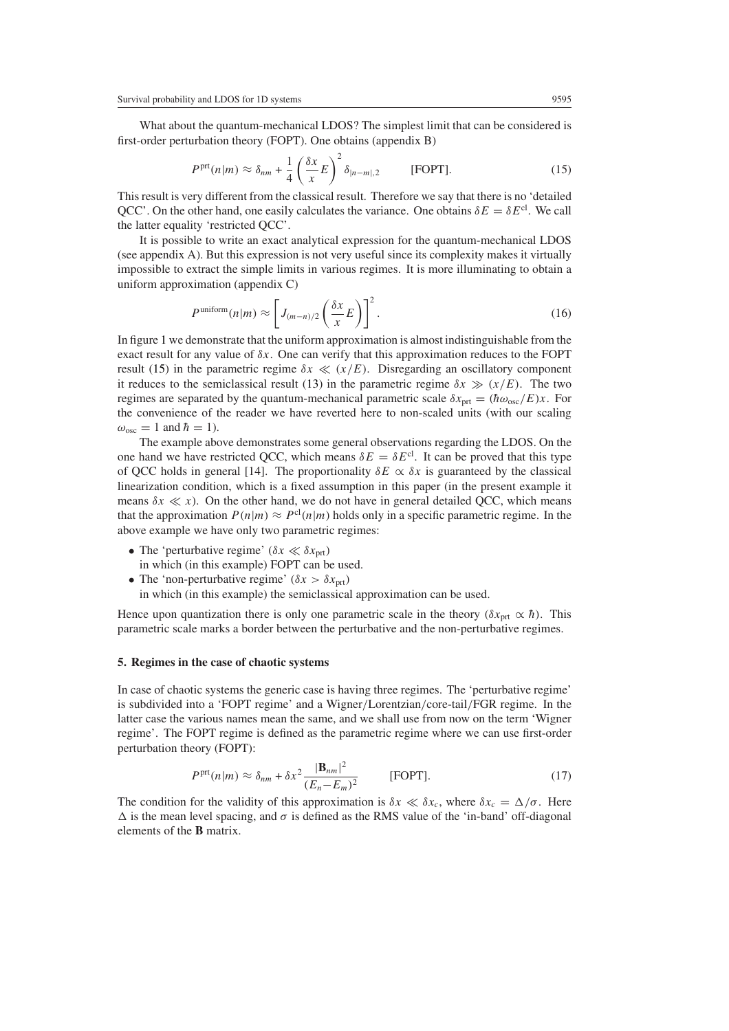<span id="page-4-1"></span>What about the quantum-mechanical LDOS? The simplest limit that can be considered is first-order perturbation theory (FOPT). One obtains (appendix B)

$$
P^{\text{prt}}(n|m) \approx \delta_{nm} + \frac{1}{4} \left(\frac{\delta x}{x} E\right)^2 \delta_{|n-m|,2} \qquad \text{[FOPT]}.
$$
 (15)

This result is very different from the classical result. Therefore we say that there is no 'detailed QCC'. On the other hand, one easily calculates the variance. One obtains  $\delta E = \delta E^{cl}$ . We call the latter equality 'restricted QCC'.

It is possible to write an exact analytical expression for the quantum-mechanical LDOS (see appendix A). But this expression is not very useful since its complexity makes it virtually impossible to extract the simple limits in various regimes. It is more illuminating to obtain a uniform approximation (appendix C)

$$
P^{\text{uniform}}(n|m) \approx \left[J_{(m-n)/2}\left(\frac{\delta x}{x}E\right)\right]^2.
$$
 (16)

In figure [1](#page-5-0) we demonstrate that the uniform approximation is almost indistinguishable from the exact result for any value of *δx*. One can verify that this approximation reduces to the FOPT result [\(15\)](#page-4-1) in the parametric regime  $\delta x \ll (x/E)$ . Disregarding an oscillatory component it reduces to the semiclassical result [\(13\)](#page-3-2) in the parametric regime  $\delta x \gg (x/E)$ . The two regimes are separated by the quantum-mechanical parametric scale  $\delta x_{\text{nrt}} = (\hbar \omega_{\text{osc}}/E)x$ . For the convenience of the reader we have reverted here to non-scaled units (with our scaling  $\omega_{\rm osc} = 1$  and  $\hbar = 1$ ).

The example above demonstrates some general observations regarding the LDOS. On the one hand we have restricted OCC, which means  $\delta E = \delta E^{cl}$ . It can be proved that this type of QCC holds in general [14]. The proportionality  $\delta E \propto \delta x$  is guaranteed by the classical linearization condition, which is a fixed assumption in this paper (in the present example it means  $\delta x \ll x$ ). On the other hand, we do not have in general detailed QCC, which means that the approximation  $P(n|m) \approx P^{cl}(n|m)$  holds only in a specific parametric regime. In the above example we have only two parametric regimes:

- The 'perturbative regime'  $(\delta x \ll \delta x_{\text{prt}})$ 
	- in which (in this example) FOPT can be used.
- The 'non-perturbative regime'  $(\delta x > \delta x_{\text{ort}})$

in which (in this example) the semiclassical approximation can be used.

Hence upon quantization there is only one parametric scale in the theory  $(\delta x_{\text{nt}} \propto \hbar)$ . This parametric scale marks a border between the perturbative and the non-perturbative regimes.

#### <span id="page-4-0"></span>**5. Regimes in the case of chaotic systems**

In case of chaotic systems the generic case is having three regimes. The 'perturbative regime' is subdivided into a 'FOPT regime' and a Wigner*/*Lorentzian*/*core-tail*/*FGR regime. In the latter case the various names mean the same, and we shall use from now on the term 'Wigner regime'. The FOPT regime is defined as the parametric regime where we can use first-order perturbation theory (FOPT):

$$
P^{\text{prt}}(n|m) \approx \delta_{nm} + \delta x^2 \frac{|\mathbf{B}_{nm}|^2}{(E_n - E_m)^2}
$$
 [FOPT]. (17)

<span id="page-4-2"></span>The condition for the validity of this approximation is  $\delta x \ll \delta x_c$ , where  $\delta x_c = \Delta/\sigma$ . Here  $\Delta$  is the mean level spacing, and  $\sigma$  is defined as the RMS value of the 'in-band' off-diagonal elements of the **B** matrix.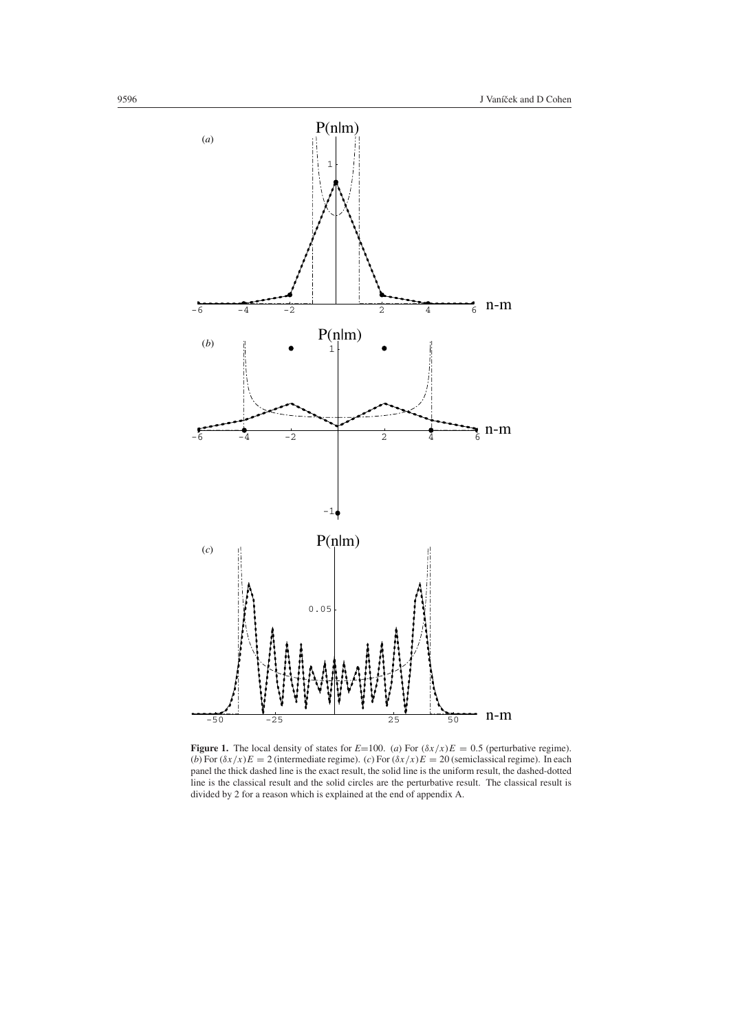

<span id="page-5-0"></span>**Figure 1.** The local density of states for  $E=100$ . (*a*) For  $(\delta x/x)E = 0.5$  (perturbative regime). (*b*) For  $(\delta x/x)E = 2$  (intermediate regime). (*c*) For  $(\delta x/x)E = 20$  (semiclassical regime). In each panel the thick dashed line is the exact result, the solid line is the uniform result, the dashed-dotted line is the classical result and the solid circles are the perturbative result. The classical result is divided by 2 for a reason which is explained at the end of appendix A.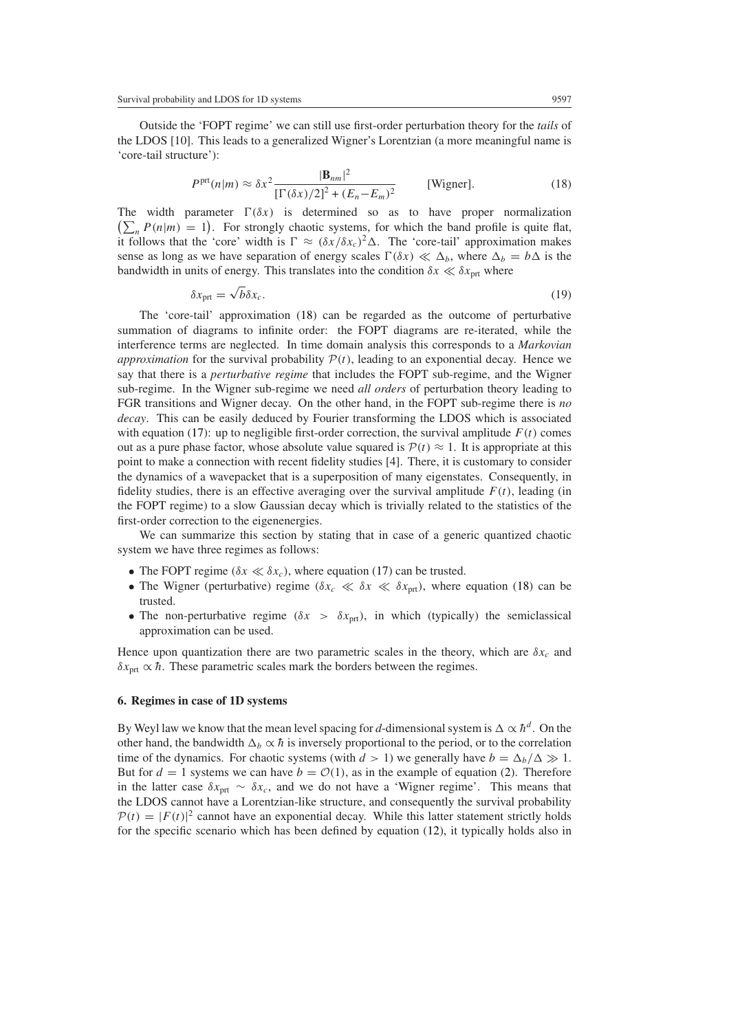<span id="page-6-1"></span>Outside the 'FOPT regime' we can still use first-order perturbation theory for the *tails* of the LDOS [10]. This leads to a generalized Wigner's Lorentzian (a more meaningful name is 'core-tail structure'):

$$
P^{\text{prt}}(n|m) \approx \delta x^2 \frac{|\mathbf{B}_{nm}|^2}{\left[\Gamma(\delta x)/2\right]^2 + (E_n - E_m)^2}
$$
 [Wigner]. (18)

The width parameter  $\Gamma(\delta x)$  is determined so as to have proper normalization  $\left(\sum_{n} P(n|m) = 1\right)$ . For strongly chaotic systems, for which the band profile is quite flat, it follows that the 'core' width is  $\Gamma \approx (\delta x/\delta x_c)^2 \Delta$ . The 'core-tail' approximation makes sense as long as we have separation of energy scales  $\Gamma(\delta x) \ll \Delta_b$ , where  $\Delta_b = b\Delta$  is the bandwidth in units of energy. This translates into the condition  $\delta x \ll \delta x_{\text{ort}}$  where

$$
\delta x_{\rm pt} = \sqrt{b} \delta x_c. \tag{19}
$$

The 'core-tail' approximation [\(18\)](#page-6-1) can be regarded as the outcome of perturbative summation of diagrams to infinite order: the FOPT diagrams are re-iterated, while the interference terms are neglected. In time domain analysis this corresponds to a *Markovian approximation* for the survival probability  $P(t)$ , leading to an exponential decay. Hence we say that there is a *perturbative regime* that includes the FOPT sub-regime, and the Wigner sub-regime. In the Wigner sub-regime we need *all orders* of perturbation theory leading to FGR transitions and Wigner decay. On the other hand, in the FOPT sub-regime there is *no decay*. This can be easily deduced by Fourier transforming the LDOS which is associated with equation [\(17\)](#page-4-2): up to negligible first-order correction, the survival amplitude  $F(t)$  comes out as a pure phase factor, whose absolute value squared is  $P(t) \approx 1$ . It is appropriate at this point to make a connection with recent fidelity studies [4]. There, it is customary to consider the dynamics of a wavepacket that is a superposition of many eigenstates. Consequently, in fidelity studies, there is an effective averaging over the survival amplitude  $F(t)$ , leading (in the FOPT regime) to a slow Gaussian decay which is trivially related to the statistics of the first-order correction to the eigenenergies.

We can summarize this section by stating that in case of a generic quantized chaotic system we have three regimes as follows:

- The FOPT regime  $(\delta x \ll \delta x_c)$ , where equation [\(17\)](#page-4-2) can be trusted.
- The Wigner (perturbative) regime  $(\delta x_c \ll \delta x \ll \delta x_{\text{ort}})$ , where equation [\(18\)](#page-6-1) can be trusted.
- The non-perturbative regime  $(\delta x > \delta x_{\text{prt}})$ , in which (typically) the semiclassical approximation can be used.

Hence upon quantization there are two parametric scales in the theory, which are  $\delta x_c$  and  $\delta x_{\text{prt}} \propto \hbar$ . These parametric scales mark the borders between the regimes.

#### <span id="page-6-0"></span>**6. Regimes in case of 1D systems**

By Weyl law we know that the mean level spacing for *d*-dimensional system is  $\Delta \propto \hbar^d$ . On the other hand, the bandwidth  $\Delta_b \propto \hbar$  is inversely proportional to the period, or to the correlation time of the dynamics. For chaotic systems (with  $d > 1$ ) we generally have  $b = \Delta_b/\Delta \gg 1$ . But for  $d = 1$  systems we can have  $b = \mathcal{O}(1)$ , as in the example of equation [\(2\)](#page-2-1). Therefore in the latter case  $\delta x_{\text{prt}} \sim \delta x_c$ , and we do not have a 'Wigner regime'. This means that the LDOS cannot have a Lorentzian-like structure, and consequently the survival probability  $P(t) = |F(t)|^2$  cannot have an exponential decay. While this latter statement strictly holds for the specific scenario which has been defined by equation [\(12\)](#page-3-3), it typically holds also in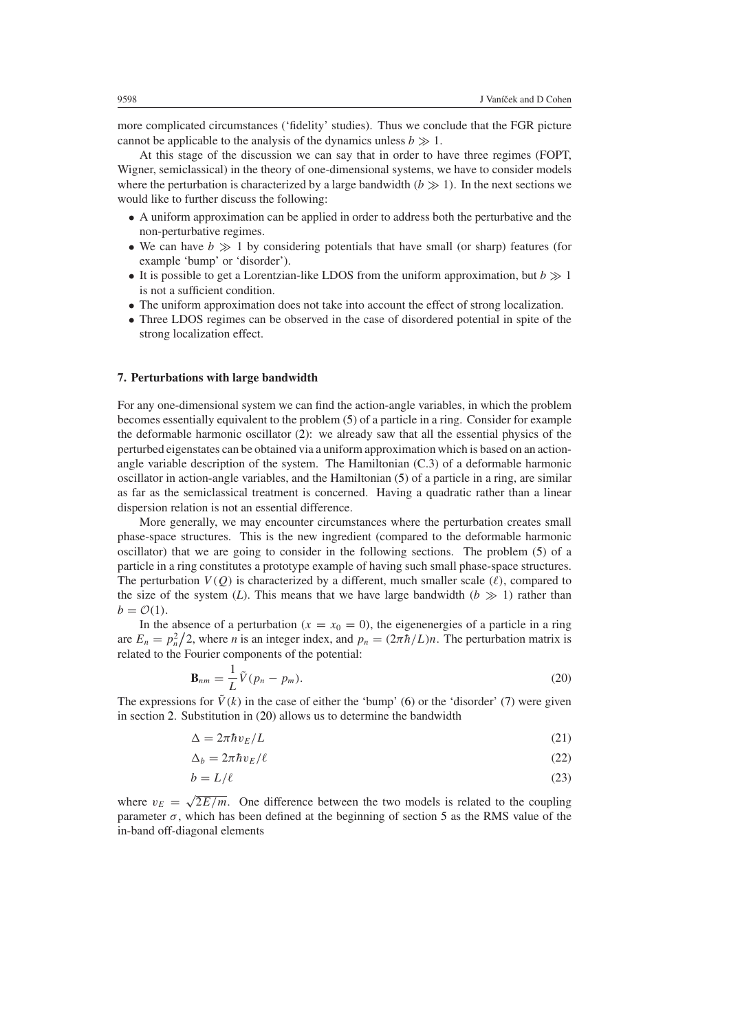more complicated circumstances ('fidelity' studies). Thus we conclude that the FGR picture cannot be applicable to the analysis of the dynamics unless  $b \gg 1$ .

At this stage of the discussion we can say that in order to have three regimes (FOPT, Wigner, semiclassical) in the theory of one-dimensional systems, we have to consider models where the perturbation is characterized by a large bandwidth  $(b \gg 1)$ . In the next sections we would like to further discuss the following:

- A uniform approximation can be applied in order to address both the perturbative and the non-perturbative regimes.
- We can have  $b \gg 1$  by considering potentials that have small (or sharp) features (for example 'bump' or 'disorder').
- It is possible to get a Lorentzian-like LDOS from the uniform approximation, but  $b \gg 1$ is not a sufficient condition.
- The uniform approximation does not take into account the effect of strong localization.
- Three LDOS regimes can be observed in the case of disordered potential in spite of the strong localization effect.

#### <span id="page-7-0"></span>**7. Perturbations with large bandwidth**

For any one-dimensional system we can find the action-angle variables, in which the problem becomes essentially equivalent to the problem [\(5\)](#page-2-2) of a particle in a ring. Consider for example the deformable harmonic oscillator [\(2\)](#page-2-1): we already saw that all the essential physics of the perturbed eigenstates can be obtained via a uniform approximation which is based on an actionangle variable description of the system. The Hamiltonian (C.3) of a deformable harmonic oscillator in action-angle variables, and the Hamiltonian [\(5\)](#page-2-2) of a particle in a ring, are similar as far as the semiclassical treatment is concerned. Having a quadratic rather than a linear dispersion relation is not an essential difference.

More generally, we may encounter circumstances where the perturbation creates small phase-space structures. This is the new ingredient (compared to the deformable harmonic oscillator) that we are going to consider in the following sections. The problem [\(5\)](#page-2-2) of a particle in a ring constitutes a prototype example of having such small phase-space structures. The perturbation  $V(Q)$  is characterized by a different, much smaller scale  $(\ell)$ , compared to the size of the system *(L)*. This means that we have large bandwidth  $(b \gg 1)$  rather than  $b = \mathcal{O}(1)$ .

<span id="page-7-1"></span>In the absence of a perturbation  $(x = x_0 = 0)$ , the eigenenergies of a particle in a ring are  $E_n = p_n^2/2$ , where *n* is an integer index, and  $p_n = (2\pi \hbar/L)n$ . The perturbation matrix is related to the Fourier components of the potential:

$$
\mathbf{B}_{nm} = \frac{1}{L}\tilde{V}(p_n - p_m). \tag{20}
$$

The expressions for  $\tilde{V}(k)$  in the case of either the 'bump' [\(6\)](#page-2-3) or the 'disorder' [\(7\)](#page-2-4) were given in section [2.](#page-2-0) Substitution in [\(20\)](#page-7-1) allows us to determine the bandwidth

$$
\Delta = 2\pi \hbar v_E / L \tag{21}
$$

$$
\Delta_b = 2\pi \hbar v_E / \ell \tag{22}
$$

$$
b = L/\ell \tag{23}
$$

where  $v_E = \sqrt{2E/m}$ . One difference between the two models is related to the coupling parameter  $\sigma$ , which has been defined at the beginning of section [5](#page-4-0) as the RMS value of the in-band off-diagonal elements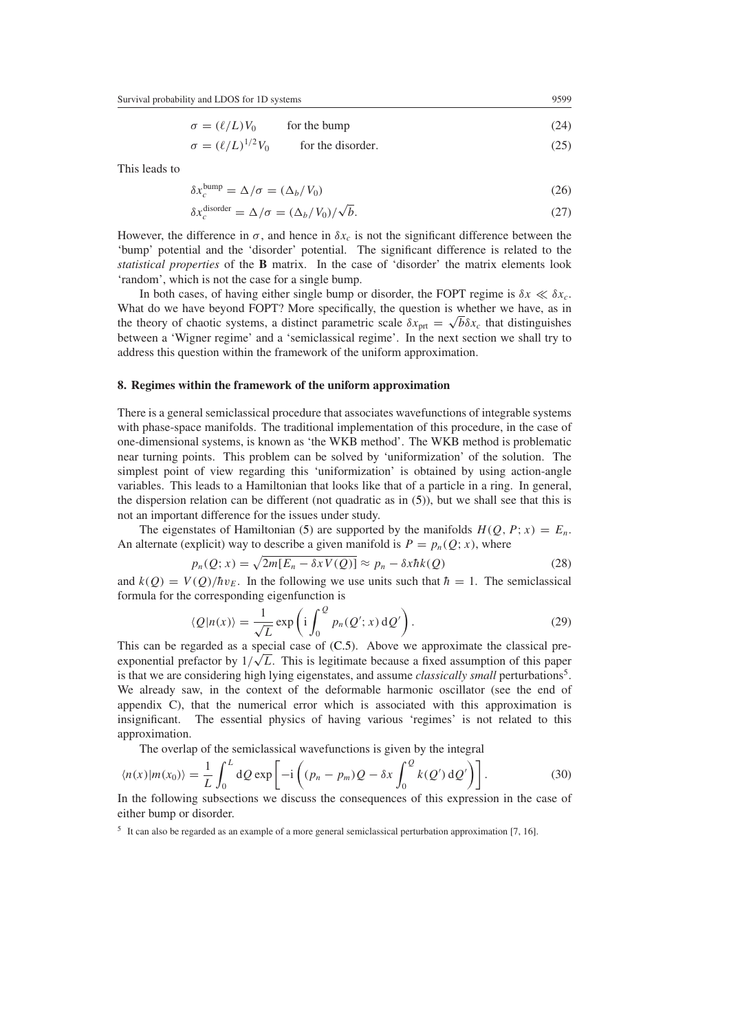$\sigma = (\ell/L)V_0$  for the bump (24)

 $\sigma = (\ell/L)^{1/2} V_0$  $\frac{1}{25}$  for the disorder. (25)

This leads to

$$
\delta x_c^{\text{bump}} = \Delta/\sigma = (\Delta_b/V_0) \tag{26}
$$

$$
\delta x_c^{\text{disorder}} = \Delta/\sigma = (\Delta_b/V_0)/\sqrt{b}.
$$
 (27)

However, the difference in  $\sigma$ , and hence in  $\delta x_c$  is not the significant difference between the 'bump' potential and the 'disorder' potential. The significant difference is related to the *statistical properties* of the **B** matrix. In the case of 'disorder' the matrix elements look 'random', which is not the case for a single bump.

In both cases, of having either single bump or disorder, the FOPT regime is  $\delta x \ll \delta x_c$ . What do we have beyond FOPT? More specifically, the question is whether we have, as in the theory of chaotic systems, a distinct parametric scale  $\delta x_{\text{ort}} = \sqrt{b} \delta x_c$  that distinguishes between a 'Wigner regime' and a 'semiclassical regime'. In the next section we shall try to address this question within the framework of the uniform approximation.

#### <span id="page-8-0"></span>**8. Regimes within the framework of the uniform approximation**

There is a general semiclassical procedure that associates wavefunctions of integrable systems with phase-space manifolds. The traditional implementation of this procedure, in the case of one-dimensional systems, is known as 'the WKB method'. The WKB method is problematic near turning points. This problem can be solved by 'uniformization' of the solution. The simplest point of view regarding this 'uniformization' is obtained by using action-angle variables. This leads to a Hamiltonian that looks like that of a particle in a ring. In general, the dispersion relation can be different (not quadratic as in [\(5\)](#page-2-2)), but we shall see that this is not an important difference for the issues under study.

The eigenstates of Hamiltonian [\(5\)](#page-2-2) are supported by the manifolds  $H(O, P; x) = E_n$ . An alternate (explicit) way to describe a given manifold is  $P = p_n(Q; x)$ , where

$$
p_n(Q; x) = \sqrt{2m[E_n - \delta x V(Q)]} \approx p_n - \delta x \hbar k(Q)
$$
 (28)

<span id="page-8-2"></span>and  $k(Q) = V(Q)/\hbar v_F$ . In the following we use units such that  $\hbar = 1$ . The semiclassical formula for the corresponding eigenfunction is

$$
\langle Q|n(x)\rangle = \frac{1}{\sqrt{L}} \exp\left(i \int_0^Q p_n(Q'; x) \, dQ'\right).
$$
 (29)

This can be regarded as a special case of [\(C.5\)](#page-15-0). Above we approximate the classical pre-This can be regarded as a special case of  $(C.5)$ . Above we approximate the classical pre-<br>exponential prefactor by  $1/\sqrt{L}$ . This is legitimate because a fixed assumption of this paper is that we are considering high lying eigenstates, and assume *classically small* perturbations<sup>5</sup>. We already saw, in the context of the deformable harmonic oscillator (see the end of appendix C), that the numerical error which is associated with this approximation is insignificant. The essential physics of having various 'regimes' is not related to this approximation.

The overlap of the semiclassical wavefunctions is given by the integral

<span id="page-8-1"></span>
$$
\langle n(x)|m(x_0)\rangle = \frac{1}{L} \int_0^L dQ \exp\left[-i\left((p_n - p_m)Q - \delta x \int_0^Q k(Q') \,dQ'\right)\right].\tag{30}
$$

In the following subsections we discuss the consequences of this expression in the case of either bump or disorder.

<sup>5</sup> It can also be regarded as an example of a more general semiclassical perturbation approximation [7, 16].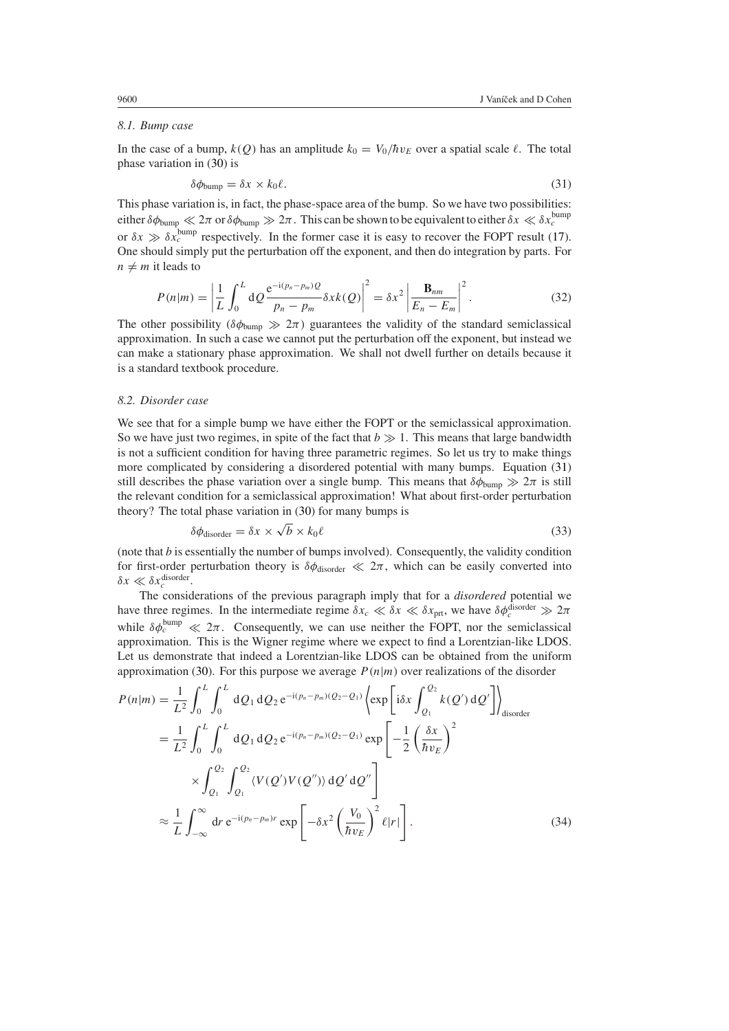## *8.1. Bump case*

<span id="page-9-0"></span>In the case of a bump,  $k(Q)$  has an amplitude  $k_0 = V_0/\hbar v_E$  over a spatial scale  $\ell$ . The total phase variation in [\(30\)](#page-8-1) is

$$
\delta\phi_{\text{bump}} = \delta x \times k_0 \ell. \tag{31}
$$

This phase variation is, in fact, the phase-space area of the bump. So we have two possibilities: either  $\delta\phi_{\text{bump}} \ll 2\pi$  or  $\delta\phi_{\text{bump}} \gg 2\pi$ . This can be shown to be equivalent to either  $\delta x \ll \delta x_c^{\text{bump}}$ or  $\delta x \gg \delta x_c^{\text{bump}}$  respectively. In the former case it is easy to recover the FOPT result [\(17\)](#page-4-2). One should simply put the perturbation off the exponent, and then do integration by parts. For  $n \neq m$  it leads to

$$
P(n|m) = \left| \frac{1}{L} \int_0^L dQ \frac{e^{-i(p_n - p_m)Q}}{p_n - p_m} \delta x k(Q) \right|^2 = \delta x^2 \left| \frac{\mathbf{B}_{nm}}{E_n - E_m} \right|^2.
$$
 (32)

The other possibility  $(\delta \phi_{bump} \gg 2\pi)$  guarantees the validity of the standard semiclassical approximation. In such a case we cannot put the perturbation off the exponent, but instead we can make a stationary phase approximation. We shall not dwell further on details because it is a standard textbook procedure.

#### *8.2. Disorder case*

We see that for a simple bump we have either the FOPT or the semiclassical approximation. So we have just two regimes, in spite of the fact that  $b \gg 1$ . This means that large bandwidth is not a sufficient condition for having three parametric regimes. So let us try to make things more complicated by considering a disordered potential with many bumps. Equation [\(31\)](#page-9-0) still describes the phase variation over a single bump. This means that  $\delta\phi_{\text{bump}} \gg 2\pi$  is still the relevant condition for a semiclassical approximation! What about first-order perturbation theory? The total phase variation in [\(30\)](#page-8-1) for many bumps is

$$
\delta\phi_{\text{disorder}} = \delta x \times \sqrt{b} \times k_0 \ell \tag{33}
$$

(note that *b* is essentially the number of bumps involved). Consequently, the validity condition for first-order perturbation theory is  $\delta\phi_{disorder} \ll 2\pi$ , which can be easily converted into  $\delta x \ll \delta x_c^{\text{disorder}}$ .

The considerations of the previous paragraph imply that for a *disordered* potential we have three regimes. In the intermediate regime  $\delta x_c \ll \delta x \ll \delta x_{\text{prt}}$ , we have  $\delta \phi_c^{\text{disorder}} \gg 2\pi$ while  $\delta \phi_c^{\text{bump}} \ll 2\pi$ . Consequently, we can use neither the FOPT, nor the semiclassical approximation. This is the Wigner regime where we expect to find a Lorentzian-like LDOS. Let us demonstrate that indeed a Lorentzian-like LDOS can be obtained from the uniform approximation [\(30\)](#page-8-1). For this purpose we average  $P(n|m)$  over realizations of the disorder

$$
P(n|m) = \frac{1}{L^2} \int_0^L \int_0^L dQ_1 dQ_2 e^{-i(p_n - p_m)(Q_2 - Q_1)} \left\{ \exp\left[i\delta x \int_{Q_1}^{Q_2} k(Q') dQ'\right] \right\}_{\text{disorder}}
$$
  
\n
$$
= \frac{1}{L^2} \int_0^L \int_0^L dQ_1 dQ_2 e^{-i(p_n - p_m)(Q_2 - Q_1)} \exp\left[-\frac{1}{2} \left(\frac{\delta x}{\hbar v_E}\right)^2\right]
$$
  
\n
$$
\times \int_{Q_1}^{Q_2} \int_{Q_1}^{Q_2} \langle V(Q')V(Q'') \rangle dQ' dQ''\right]
$$
  
\n
$$
\approx \frac{1}{L} \int_{-\infty}^{\infty} dr e^{-i(p_n - p_m)r} \exp\left[-\delta x^2 \left(\frac{V_0}{\hbar v_E}\right)^2 \ell |r|\right].
$$
 (34)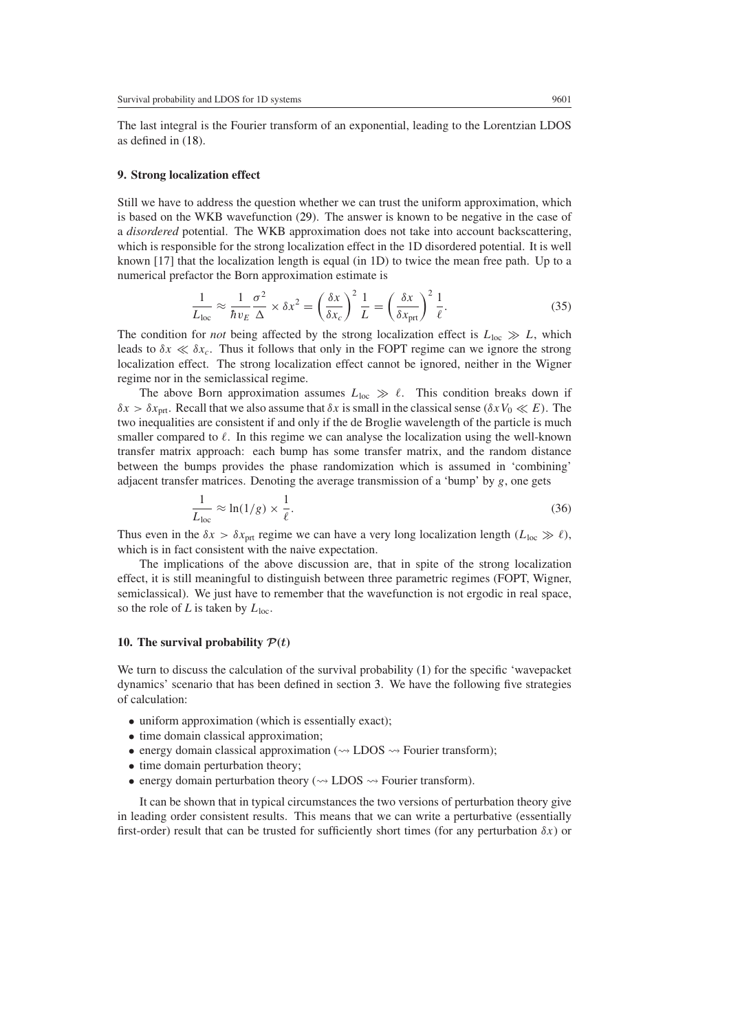The last integral is the Fourier transform of an exponential, leading to the Lorentzian LDOS as defined in [\(18\)](#page-6-1).

#### <span id="page-10-0"></span>**9. Strong localization effect**

Still we have to address the question whether we can trust the uniform approximation, which is based on the WKB wavefunction [\(29\)](#page-8-2). The answer is known to be negative in the case of a *disordered* potential. The WKB approximation does not take into account backscattering, which is responsible for the strong localization effect in the 1D disordered potential. It is well known [17] that the localization length is equal (in 1D) to twice the mean free path. Up to a numerical prefactor the Born approximation estimate is

$$
\frac{1}{L_{\text{loc}}} \approx \frac{1}{\hbar v_E} \frac{\sigma^2}{\Delta} \times \delta x^2 = \left(\frac{\delta x}{\delta x_c}\right)^2 \frac{1}{L} = \left(\frac{\delta x}{\delta x_{\text{prt}}}\right)^2 \frac{1}{\ell}.
$$
 (35)

The condition for *not* being affected by the strong localization effect is  $L_{loc} \gg L$ , which leads to  $\delta x \ll \delta x_c$ . Thus it follows that only in the FOPT regime can we ignore the strong localization effect. The strong localization effect cannot be ignored, neither in the Wigner regime nor in the semiclassical regime.

The above Born approximation assumes  $L_{\text{loc}} \gg \ell$ . This condition breaks down if *δx > δx*prt. Recall that we also assume that *δx* is small in the classical sense *(δxV*<sup>0</sup> *E)*. The two inequalities are consistent if and only if the de Broglie wavelength of the particle is much smaller compared to  $\ell$ . In this regime we can analyse the localization using the well-known transfer matrix approach: each bump has some transfer matrix, and the random distance between the bumps provides the phase randomization which is assumed in 'combining' adjacent transfer matrices. Denoting the average transmission of a 'bump' by *g*, one gets

$$
\frac{1}{L_{\text{loc}}} \approx \ln(1/g) \times \frac{1}{\ell}.\tag{36}
$$

Thus even in the  $\delta x > \delta x_{\text{net}}$  regime we can have a very long localization length  $(L_{\text{loc}} \gg \ell)$ , which is in fact consistent with the naive expectation.

The implications of the above discussion are, that in spite of the strong localization effect, it is still meaningful to distinguish between three parametric regimes (FOPT, Wigner, semiclassical). We just have to remember that the wavefunction is not ergodic in real space, so the role of *L* is taken by  $L_{loc}$ .

#### <span id="page-10-1"></span>**10. The survival probability**  $P(t)$

We turn to discuss the calculation of the survival probability [\(1\)](#page-0-0) for the specific 'wavepacket dynamics' scenario that has been defined in section [3.](#page-3-0) We have the following five strategies of calculation:

- uniform approximation (which is essentially exact);
- time domain classical approximation;
- energy domain classical approximation ( $\rightsquigarrow$  LDOS  $\rightsquigarrow$  Fourier transform);
- time domain perturbation theory;
- energy domain perturbation theory ( $\rightsquigarrow$  LDOS  $\rightsquigarrow$  Fourier transform).

It can be shown that in typical circumstances the two versions of perturbation theory give in leading order consistent results. This means that we can write a perturbative (essentially first-order) result that can be trusted for sufficiently short times (for any perturbation  $\delta x$ ) or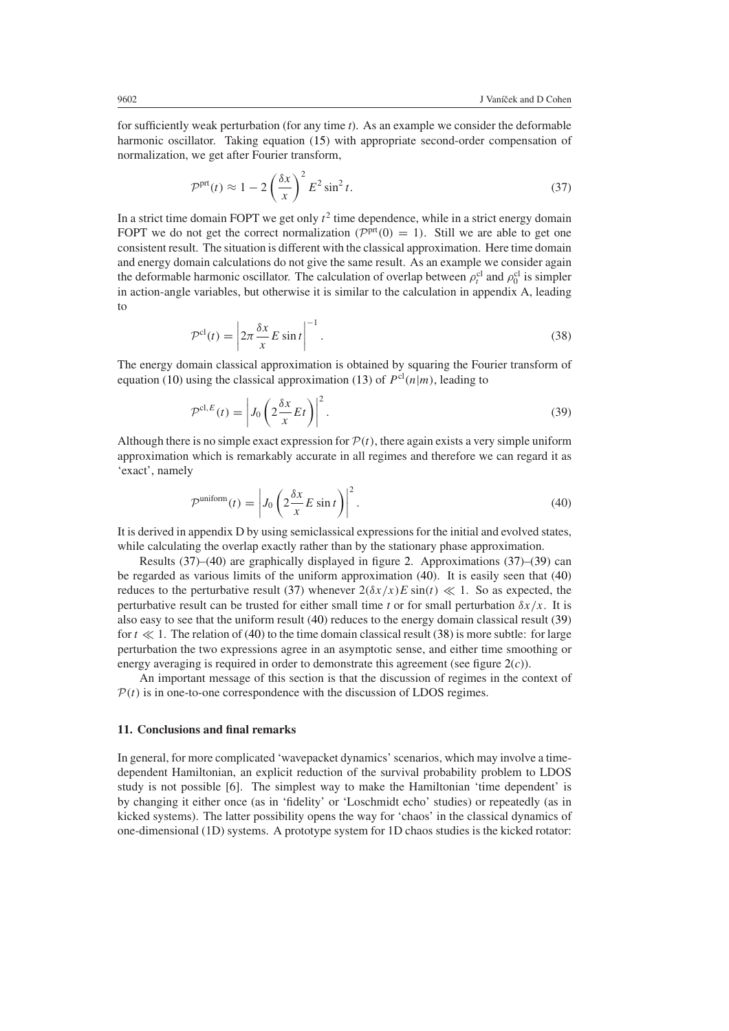<span id="page-11-1"></span>for sufficiently weak perturbation (for any time *t*). As an example we consider the deformable harmonic oscillator. Taking equation [\(15\)](#page-4-1) with appropriate second-order compensation of normalization, we get after Fourier transform,

$$
\mathcal{P}^{\text{prt}}(t) \approx 1 - 2\left(\frac{\delta x}{x}\right)^2 E^2 \sin^2 t. \tag{37}
$$

In a strict time domain FOPT we get only  $t^2$  time dependence, while in a strict energy domain FOPT we do not get the correct normalization  $(P<sup>prt</sup>(0) = 1)$ . Still we are able to get one consistent result. The situation is different with the classical approximation. Here time domain and energy domain calculations do not give the same result. As an example we consider again the deformable harmonic oscillator. The calculation of overlap between  $\rho_t^{cl}$  and  $\rho_0^{cl}$  is simpler in action-angle variables, but otherwise it is similar to the calculation in appendix A, leading to

$$
\mathcal{P}^{\text{cl}}(t) = \left| 2\pi \frac{\delta x}{x} E \sin t \right|^{-1}.
$$
\n(38)

<span id="page-11-4"></span><span id="page-11-3"></span>The energy domain classical approximation is obtained by squaring the Fourier transform of equation [\(10\)](#page-3-4) using the classical approximation [\(13\)](#page-3-2) of  $P^{cl}(n|m)$ , leading to

$$
\mathcal{P}^{\mathrm{cl},E}(t) = \left| J_0 \left( 2 \frac{\delta x}{x} E t \right) \right|^2. \tag{39}
$$

Although there is no simple exact expression for  $\mathcal{P}(t)$ , there again exists a very simple uniform approximation which is remarkably accurate in all regimes and therefore we can regard it as 'exact', namely

$$
\mathcal{P}^{\text{uniform}}(t) = \left| J_0 \left( 2 \frac{\delta x}{x} E \sin t \right) \right|^2.
$$
\n(40)

<span id="page-11-2"></span>It is derived in appendix D by using semiclassical expressions for the initial and evolved states, while calculating the overlap exactly rather than by the stationary phase approximation.

Results [\(37\)](#page-11-1)–[\(40\)](#page-11-2) are graphically displayed in figure [2.](#page-12-0) Approximations [\(37\)](#page-11-1)–[\(39\)](#page-11-3) can be regarded as various limits of the uniform approximation [\(40\)](#page-11-2). It is easily seen that [\(40\)](#page-11-2) reduces to the perturbative result [\(37\)](#page-11-1) whenever  $2(\delta x/x)E \sin(t) \ll 1$ . So as expected, the perturbative result can be trusted for either small time *t* or for small perturbation  $\delta x/x$ . It is also easy to see that the uniform result [\(40\)](#page-11-2) reduces to the energy domain classical result [\(39\)](#page-11-3) for  $t \ll 1$ . The relation of [\(40\)](#page-11-2) to the time domain classical result [\(38\)](#page-11-4) is more subtle: for large perturbation the two expressions agree in an asymptotic sense, and either time smoothing or energy averaging is required in order to demonstrate this agreement (see figure [2\(](#page-12-0)*c*)).

An important message of this section is that the discussion of regimes in the context of  $P(t)$  is in one-to-one correspondence with the discussion of LDOS regimes.

#### <span id="page-11-0"></span>**11. Conclusions and final remarks**

In general, for more complicated 'wavepacket dynamics' scenarios, which may involve a timedependent Hamiltonian, an explicit reduction of the survival probability problem to LDOS study is not possible [6]. The simplest way to make the Hamiltonian 'time dependent' is by changing it either once (as in 'fidelity' or 'Loschmidt echo' studies) or repeatedly (as in kicked systems). The latter possibility opens the way for 'chaos' in the classical dynamics of one-dimensional (1D) systems. A prototype system for 1D chaos studies is the kicked rotator: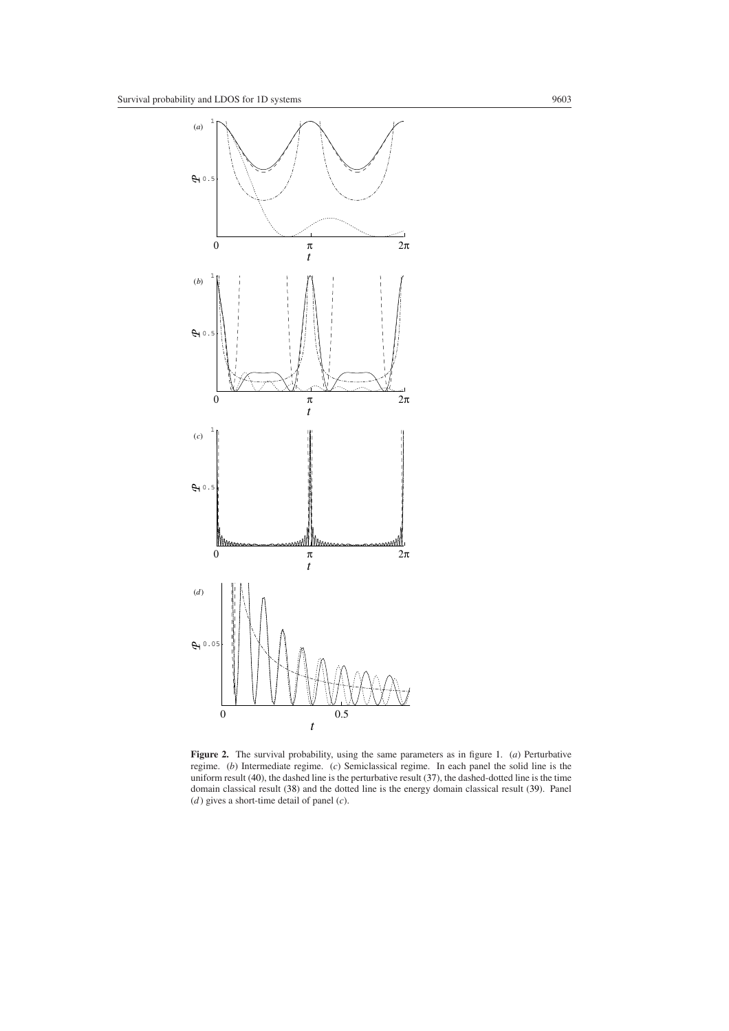

<span id="page-12-0"></span>**Figure 2.** The survival probability, using the same parameters as in figure [1.](#page-5-0) (*a*) Perturbative regime. (*b*) Intermediate regime. (*c*) Semiclassical regime. In each panel the solid line is the uniform result [\(40\)](#page-11-2), the dashed line is the perturbative result [\(37\)](#page-11-1), the dashed-dotted line is the time domain classical result [\(38\)](#page-11-4) and the dotted line is the energy domain classical result [\(39\)](#page-11-3). Panel (*d* ) gives a short-time detail of panel (*c*).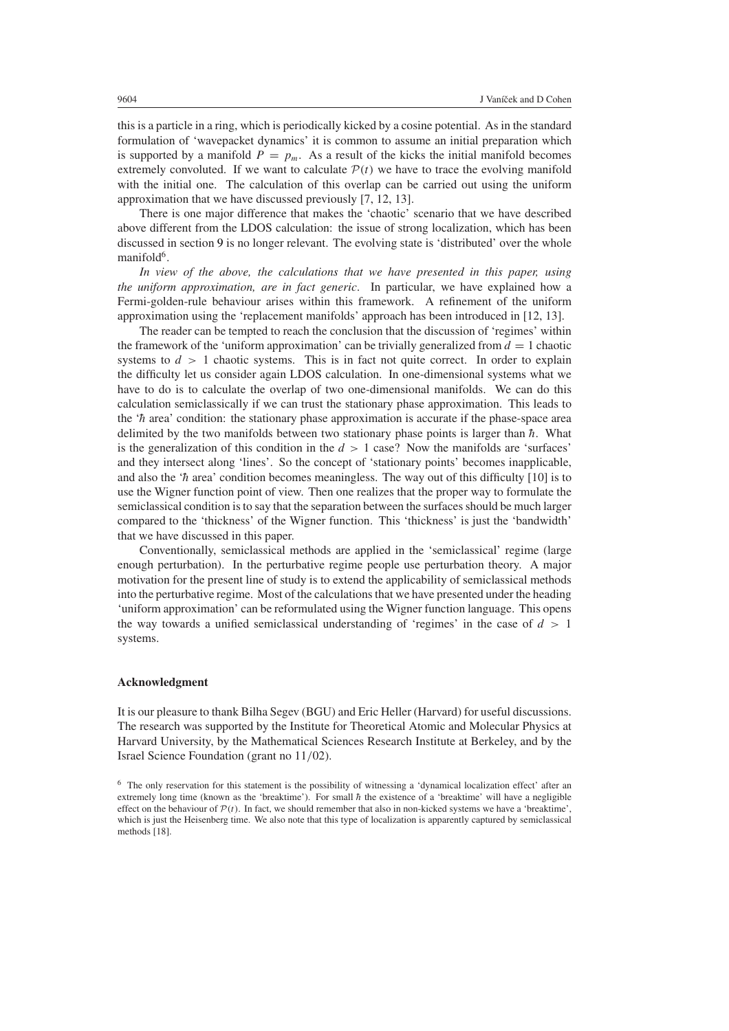this is a particle in a ring, which is periodically kicked by a cosine potential. As in the standard formulation of 'wavepacket dynamics' it is common to assume an initial preparation which is supported by a manifold  $P = p_m$ . As a result of the kicks the initial manifold becomes extremely convoluted. If we want to calculate  $P(t)$  we have to trace the evolving manifold with the initial one. The calculation of this overlap can be carried out using the uniform approximation that we have discussed previously [7, 12, 13].

There is one major difference that makes the 'chaotic' scenario that we have described above different from the LDOS calculation: the issue of strong localization, which has been discussed in section [9](#page-10-0) is no longer relevant. The evolving state is 'distributed' over the whole manifold $6$ .

*In view of the above, the calculations that we have presented in this paper, using the uniform approximation, are in fact generic*. In particular, we have explained how a Fermi-golden-rule behaviour arises within this framework. A refinement of the uniform approximation using the 'replacement manifolds' approach has been introduced in [12, 13].

The reader can be tempted to reach the conclusion that the discussion of 'regimes' within the framework of the 'uniform approximation' can be trivially generalized from  $d = 1$  chaotic systems to  $d > 1$  chaotic systems. This is in fact not quite correct. In order to explain the difficulty let us consider again LDOS calculation. In one-dimensional systems what we have to do is to calculate the overlap of two one-dimensional manifolds. We can do this calculation semiclassically if we can trust the stationary phase approximation. This leads to the  $\hbar$  area' condition: the stationary phase approximation is accurate if the phase-space area delimited by the two manifolds between two stationary phase points is larger than  $\hbar$ . What is the generalization of this condition in the *d >* 1 case? Now the manifolds are 'surfaces' and they intersect along 'lines'. So the concept of 'stationary points' becomes inapplicable, and also the ' $\hbar$  area' condition becomes meaningless. The way out of this difficulty [10] is to use the Wigner function point of view. Then one realizes that the proper way to formulate the semiclassical condition is to say that the separation between the surfaces should be much larger compared to the 'thickness' of the Wigner function. This 'thickness' is just the 'bandwidth' that we have discussed in this paper.

Conventionally, semiclassical methods are applied in the 'semiclassical' regime (large enough perturbation). In the perturbative regime people use perturbation theory. A major motivation for the present line of study is to extend the applicability of semiclassical methods into the perturbative regime. Most of the calculations that we have presented under the heading 'uniform approximation' can be reformulated using the Wigner function language. This opens the way towards a unified semiclassical understanding of 'regimes' in the case of *d >* 1 systems.

#### **Acknowledgment**

It is our pleasure to thank Bilha Segev (BGU) and Eric Heller (Harvard) for useful discussions. The research was supported by the Institute for Theoretical Atomic and Molecular Physics at Harvard University, by the Mathematical Sciences Research Institute at Berkeley, and by the Israel Science Foundation (grant no 11*/*02).

<sup>6</sup> The only reservation for this statement is the possibility of witnessing a 'dynamical localization effect' after an extremely long time (known as the 'breaktime'). For small  $\hbar$  the existence of a 'breaktime' will have a negligible effect on the behaviour of  $P(t)$ . In fact, we should remember that also in non-kicked systems we have a 'breaktime', which is just the Heisenberg time. We also note that this type of localization is apparently captured by semiclassical methods [18].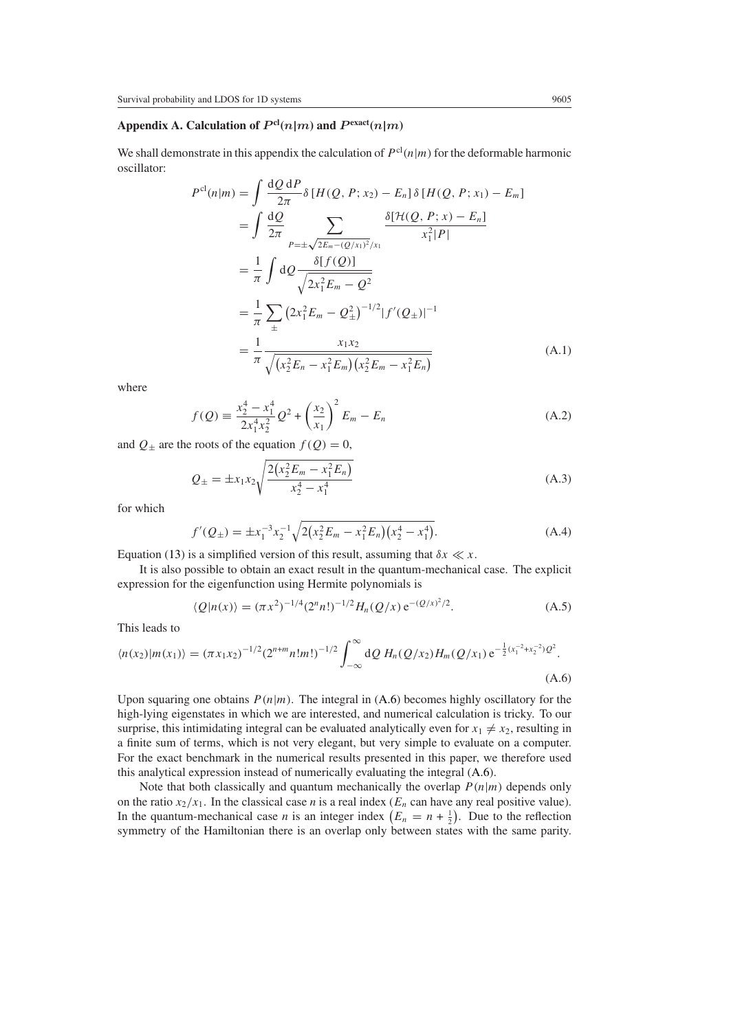## Appendix A. Calculation of  $P^{cl}(n|m)$  and  $P^{exact}(n|m)$

We shall demonstrate in this appendix the calculation of  $P^{cl}(n|m)$  for the deformable harmonic oscillator:

$$
P^{\text{cl}}(n|m) = \int \frac{dQ}{2\pi} \delta [H(Q, P; x_2) - E_n] \delta [H(Q, P; x_1) - E_m]
$$
  
\n
$$
= \int \frac{dQ}{2\pi} \sum_{P=\pm\sqrt{2E_m - (Q/x_1)^2}/x_1} \frac{\delta[\mathcal{H}(Q, P; x) - E_n]}{x_1^2|P|}
$$
  
\n
$$
= \frac{1}{\pi} \int dQ \frac{\delta[f(Q)]}{\sqrt{2x_1^2 E_m - Q^2}}
$$
  
\n
$$
= \frac{1}{\pi} \sum_{\pm} (2x_1^2 E_m - Q_{\pm}^2)^{-1/2} |f'(Q_{\pm})|^{-1}
$$
  
\n
$$
= \frac{1}{\pi} \frac{x_1 x_2}{\sqrt{(x_2^2 E_n - x_1^2 E_m)(x_2^2 E_m - x_1^2 E_n)}}
$$
(A.1)

where

$$
f(Q) = \frac{x_2^4 - x_1^4}{2x_1^4 x_2^2} Q^2 + \left(\frac{x_2}{x_1}\right)^2 E_m - E_n
$$
 (A.2)

and  $Q_{\pm}$  are the roots of the equation  $f(Q) = 0$ ,

$$
Q_{\pm} = \pm x_1 x_2 \sqrt{\frac{2(x_2^2 E_m - x_1^2 E_n)}{x_2^4 - x_1^4}}
$$
(A.3)

for which

$$
f'(Q_{\pm}) = \pm x_1^{-3} x_2^{-1} \sqrt{2(x_2^2 E_m - x_1^2 E_n)(x_2^4 - x_1^4)}.
$$
 (A.4)

Equation [\(13\)](#page-3-2) is a simplified version of this result, assuming that  $\delta x \ll x$ .

It is also possible to obtain an exact result in the quantum-mechanical case. The explicit expression for the eigenfunction using Hermite polynomials is

$$
\langle Q|n(x)\rangle = (\pi x^2)^{-1/4} (2^n n!)^{-1/2} H_n(Q/x) e^{-(Q/x)^2/2}.
$$
 (A.5)

This leads to

<span id="page-14-0"></span>
$$
\langle n(x_2)|m(x_1)\rangle = (\pi x_1 x_2)^{-1/2} (2^{n+m} n! m!)^{-1/2} \int_{-\infty}^{\infty} dQ H_n(Q/x_2) H_m(Q/x_1) e^{-\frac{1}{2}(x_1^{-2} + x_2^{-2})Q^2}.
$$
\n(A.6)

Upon squaring one obtains  $P(n|m)$ . The integral in [\(A.6\)](#page-14-0) becomes highly oscillatory for the high-lying eigenstates in which we are interested, and numerical calculation is tricky. To our surprise, this intimidating integral can be evaluated analytically even for  $x_1 \neq x_2$ , resulting in a finite sum of terms, which is not very elegant, but very simple to evaluate on a computer. For the exact benchmark in the numerical results presented in this paper, we therefore used this analytical expression instead of numerically evaluating the integral [\(A.6\)](#page-14-0).

Note that both classically and quantum mechanically the overlap  $P(n|m)$  depends only on the ratio  $x_2/x_1$ . In the classical case *n* is a real index ( $E_n$  can have any real positive value). In the quantum-mechanical case *n* is an integer index  $(E_n = n + \frac{1}{2})$ . Due to the reflection symmetry of the Hamiltonian there is an overlap only between states with the same parity.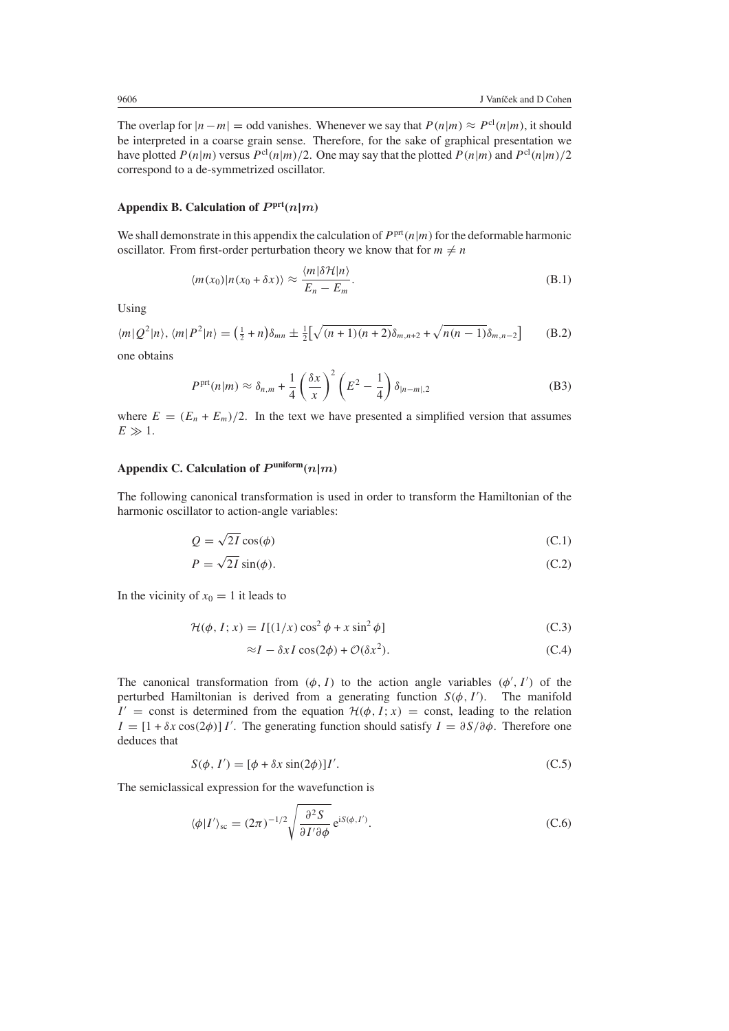The overlap for  $|n-m|$  = odd vanishes. Whenever we say that  $P(n|m) \approx P^{cl}(n|m)$ , it should be interpreted in a coarse grain sense. Therefore, for the sake of graphical presentation we have plotted  $P(n|m)$  versus  $P^{cl}(n|m)/2$ . One may say that the plotted  $P(n|m)$  and  $P^{cl}(n|m)/2$ correspond to a de-symmetrized oscillator.

## Appendix B. Calculation of  $P^{\text{prt}}(n|m)$

We shall demonstrate in this appendix the calculation of  $P<sup>prt</sup>(n|m)$  for the deformable harmonic oscillator. From first-order perturbation theory we know that for  $m \neq n$ 

$$
\langle m(x_0) | n(x_0 + \delta x) \rangle \approx \frac{\langle m | \delta \mathcal{H} | n \rangle}{E_n - E_m}.
$$
\n(B.1)

Using

$$
\langle m|Q^2|n\rangle, \langle m|P^2|n\rangle = \left(\frac{1}{2} + n\right)\delta_{mn} \pm \frac{1}{2} \left[\sqrt{(n+1)(n+2)}\delta_{m,n+2} + \sqrt{n(n-1)}\delta_{m,n-2}\right]
$$
(B.2)

one obtains

$$
P^{\text{prt}}(n|m) \approx \delta_{n,m} + \frac{1}{4} \left(\frac{\delta x}{x}\right)^2 \left(E^2 - \frac{1}{4}\right) \delta_{|n-m|,2} \tag{B3}
$$

where  $E = (E_n + E_m)/2$ . In the text we have presented a simplified version that assumes  $E \gg 1$ .

## Appendix C. Calculation of  $P^{\text{uniform}}(n|m)$

The following canonical transformation is used in order to transform the Hamiltonian of the harmonic oscillator to action-angle variables:

$$
Q = \sqrt{2I} \cos(\phi) \tag{C.1}
$$

$$
P = \sqrt{2I} \sin(\phi). \tag{C.2}
$$

In the vicinity of  $x_0 = 1$  it leads to

$$
\mathcal{H}(\phi, I; x) = I[(1/x)\cos^2\phi + x\sin^2\phi]
$$
 (C.3)

$$
\approx I - \delta x I \cos(2\phi) + \mathcal{O}(\delta x^2). \tag{C.4}
$$

The canonical transformation from  $(\phi, I)$  to the action angle variables  $(\phi', I')$  of the perturbed Hamiltonian is derived from a generating function  $S(\phi, I')$ . The manifold  $I' =$  const is determined from the equation  $H(\phi, I; x) =$  const, leading to the relation  $I = [1 + \delta x \cos(2\phi)] I'$ . The generating function should satisfy  $I = \partial S/\partial \phi$ . Therefore one deduces that

$$
S(\phi, I') = [\phi + \delta x \sin(2\phi)]I'.
$$
 (C.5)

<span id="page-15-0"></span>The semiclassical expression for the wavefunction is

$$
\langle \phi | I' \rangle_{\rm sc} = (2\pi)^{-1/2} \sqrt{\frac{\partial^2 S}{\partial I' \partial \phi}} e^{iS(\phi, I')}.
$$
 (C.6)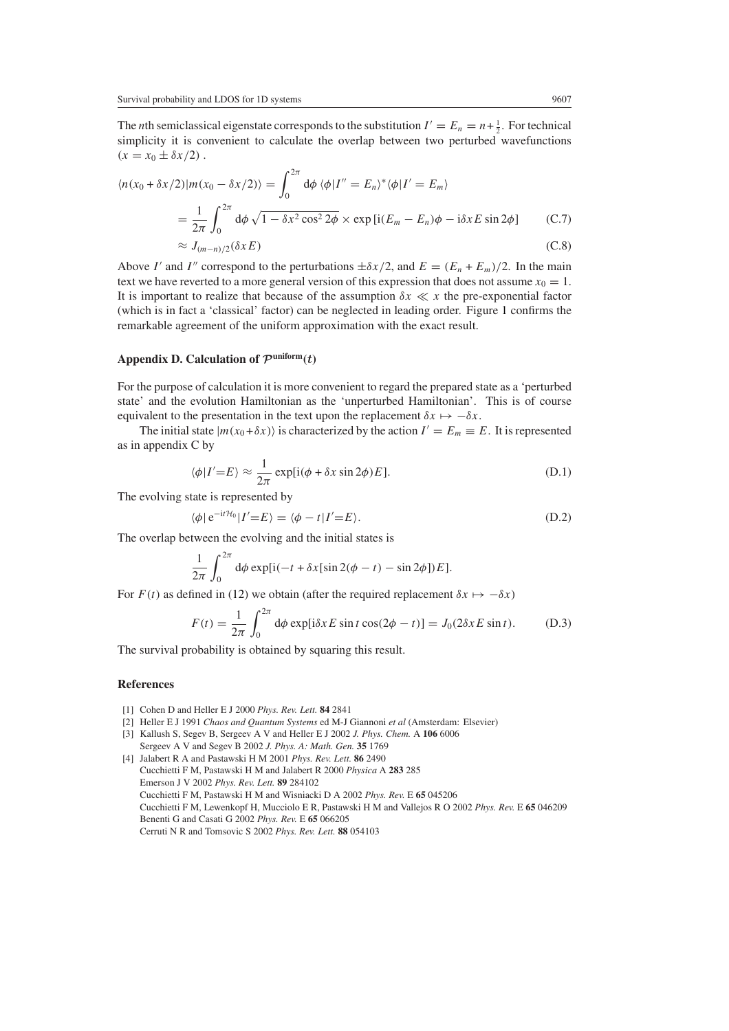The *n*th semiclassical eigenstate corresponds to the substitution  $I' = E_n = n + \frac{1}{2}$ . For technical simplicity it is convenient to calculate the overlap between two perturbed wavefunctions  $(x = x_0 \pm \delta x/2)$ .

$$
\langle n(x_0 + \delta x/2) | m(x_0 - \delta x/2) \rangle = \int_0^{2\pi} d\phi \langle \phi | I'' = E_n \rangle^* \langle \phi | I' = E_m \rangle
$$
  
= 
$$
\frac{1}{2\pi} \int_0^{2\pi} d\phi \sqrt{1 - \delta x^2 \cos^2 2\phi} \times \exp[i(E_m - E_n)\phi - i\delta x E \sin 2\phi]
$$
 (C.7)  

$$
\approx J_{(m-n)/2}(\delta x E)
$$
 (C.8)

Above *I'* and *I''* correspond to the perturbations  $\pm \delta x/2$ , and  $E = (E_n + E_m)/2$ . In the main text we have reverted to a more general version of this expression that does not assume  $x_0 = 1$ . It is important to realize that because of the assumption  $\delta x \ll x$  the pre-exponential factor (which is in fact a 'classical' factor) can be neglected in leading order. Figure [1](#page-5-0) confirms the remarkable agreement of the uniform approximation with the exact result.

## Appendix D. Calculation of  $\mathcal{P}^{\text{uniform}}(t)$

For the purpose of calculation it is more convenient to regard the prepared state as a 'perturbed state' and the evolution Hamiltonian as the 'unperturbed Hamiltonian'. This is of course equivalent to the presentation in the text upon the replacement  $\delta x \mapsto -\delta x$ .

The initial state  $|m(x_0 + \delta x)|$  is characterized by the action  $I' = E_m \equiv E$ . It is represented as in appendix C by

$$
\langle \phi | I' = E \rangle \approx \frac{1}{2\pi} \exp[i(\phi + \delta x \sin 2\phi) E]. \tag{D.1}
$$

The evolving state is represented by

$$
\langle \phi | e^{-it\mathcal{H}_0} | I' = E \rangle = \langle \phi - t | I' = E \rangle. \tag{D.2}
$$

The overlap between the evolving and the initial states is

$$
\frac{1}{2\pi} \int_0^{2\pi} d\phi \exp[i(-t + \delta x[\sin 2(\phi - t) - \sin 2\phi])E].
$$

For  $F(t)$  as defined in [\(12\)](#page-3-3) we obtain (after the required replacement  $\delta x \mapsto -\delta x$ )

$$
F(t) = \frac{1}{2\pi} \int_0^{2\pi} d\phi \exp[i\delta x E \sin t \cos(2\phi - t)] = J_0(2\delta x E \sin t). \tag{D.3}
$$

The survival probability is obtained by squaring this result.

#### **References**

- [1] Cohen D and Heller E J 2000 *Phys. Rev. Lett.* **84** 2841
- [2] Heller E J 1991 *Chaos and Quantum Systems* ed M-J Giannoni *et al* (Amsterdam: Elsevier)
- [3] Kallush S, Segev B, Sergeev A V and Heller E J 2002 *J. Phys. Chem.* A **106** 6006 Sergeev A V and Segev B 2002 *J. Phys. A: Math. Gen.* **35** 1769
- [4] Jalabert R A and Pastawski H M 2001 *Phys. Rev. Lett.* **86** 2490 Cucchietti F M, Pastawski H M and Jalabert R 2000 *Physica* A **283** 285 Emerson J V 2002 *Phys. Rev. Lett.* **89** 284102 Cucchietti F M, Pastawski H M and Wisniacki D A 2002 *Phys. Rev.* E **65** 045206 Cucchietti F M, Lewenkopf H, Mucciolo E R, Pastawski H M and Vallejos R O 2002 *Phys. Rev.* E **65** 046209 Benenti G and Casati G 2002 *Phys. Rev.* E **65** 066205 Cerruti N R and Tomsovic S 2002 *Phys. Rev. Lett.* **88** 054103